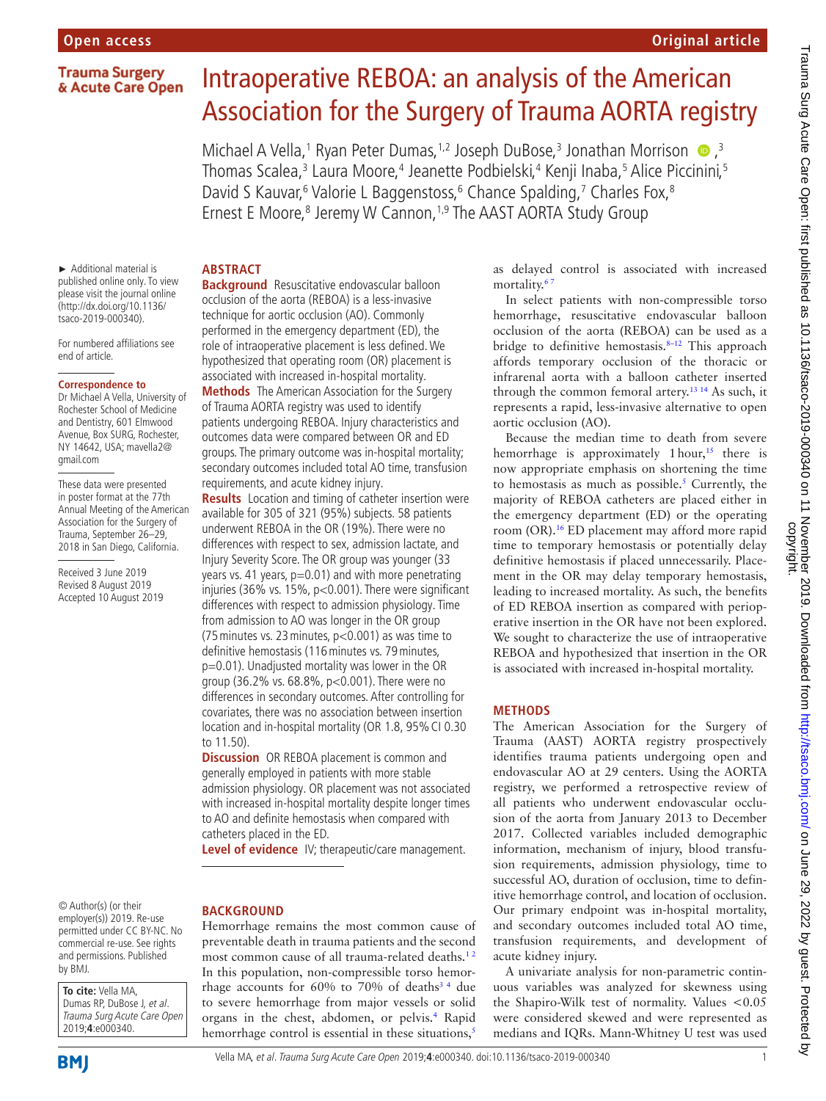**Trauma Surgery** & Acute Care Open

# Intraoperative REBOA: an analysis of the American Association for the Surgery of Trauma AORTA registry

Michael A Vella, 1 Ryan Peter Dumas, 1,2 Joseph DuBose, 3 Jonathan Morrison  $\bullet$ , 3 Thomas Scalea,<sup>3</sup> Laura Moore,<sup>4</sup> Jeanette Podbielski,<sup>4</sup> Kenji Inaba,<sup>5</sup> Alice Piccinini,<sup>5</sup> David S Kauvar,<sup>6</sup> Valorie L Baggenstoss,<sup>6</sup> Chance Spalding,<sup>7</sup> Charles Fox,<sup>8</sup> Ernest E Moore,<sup>8</sup> Jeremy W Cannon,<sup>1,9</sup> The AAST AORTA Study Group

► Additional material is published online only. To view please visit the journal online (http://dx.doi.org/10.1136/ tsaco-2019-000340).

For numbered affiliations see end of article.

#### **Correspondence to**

Dr Michael A Vella, University of Rochester School of Medicine and Dentistry, 601 Elmwood Avenue, Box SURG, Rochester, NY 14642, USA; mavella2@ gmail.com

These data were presented in poster format at the 77th Annual Meeting of the American Association for the Surgery of Trauma, September 26–29, 2018 in San Diego, California.

Received 3 June 2019 Revised 8 August 2019 Accepted 10 August 2019

© Author(s) (or their employer(s)) 2019. Re-use permitted under CC BY-NC. No commercial re-use. See rights and permissions. Published by BMJ.

**To cite:** Vella MA, Dumas RP, DuBose J, et al. Trauma Surg Acute Care Open 2019;**4**:e000340.

### **Abstract**

**Background** Resuscitative endovascular balloon occlusion of the aorta (REBOA) is a less-invasive technique for aortic occlusion (AO). Commonly performed in the emergency department (ED), the role of intraoperative placement is less defined. We hypothesized that operating room (OR) placement is associated with increased in-hospital mortality.

**Methods** The American Association for the Surgery of Trauma AORTA registry was used to identify patients undergoing REBOA. Injury characteristics and outcomes data were compared between OR and ED groups. The primary outcome was in-hospital mortality; secondary outcomes included total AO time, transfusion requirements, and acute kidney injury.

**Results** Location and timing of catheter insertion were available for 305 of 321 (95%) subjects. 58 patients underwent REBOA in the OR (19%). There were no differences with respect to sex, admission lactate, and Injury Severity Score. The OR group was younger (33 years vs. 41 years,  $p=0.01$ ) and with more penetrating injuries (36% vs. 15%, p<0.001). There were significant differences with respect to admission physiology. Time from admission to AO was longer in the OR group (75minutes vs. 23minutes, p<0.001) as was time to definitive hemostasis (116minutes vs. 79minutes, p=0.01). Unadjusted mortality was lower in the OR group (36.2% vs. 68.8%, p<0.001). There were no differences in secondary outcomes. After controlling for covariates, there was no association between insertion location and in-hospital mortality (OR 1.8, 95% CI 0.30 to 11.50).

**Discussion** OR REBOA placement is common and generally employed in patients with more stable admission physiology. OR placement was not associated with increased in-hospital mortality despite longer times to AO and definite hemostasis when compared with catheters placed in the ED.

**Level of evidence** IV; therapeutic/care management.

#### **BACKGROUND**

Hemorrhage remains the most common cause of preventable death in trauma patients and the second most common cause of all trauma-related deaths.<sup>12</sup> In this population, non-compressible torso hemorrhage accounts for  $60\%$  to 70% of deaths<sup>34</sup> due to severe hemorrhage from major vessels or solid organs in the chest, abdomen, or pelvis.<sup>[4](#page-3-2)</sup> Rapid hemorrhage control is essential in these situations,<sup>5</sup>

as delayed control is associated with increased mortality.<sup>67</sup>

**Original article**

In select patients with non-compressible torso hemorrhage, resuscitative endovascular balloon occlusion of the aorta (REBOA) can be used as a bridge to definitive hemostasis. $8-12$  This approach affords temporary occlusion of the thoracic or infrarenal aorta with a balloon catheter inserted through the common femoral artery[.13 14](#page-3-6) As such, it represents a rapid, less-invasive alternative to open aortic occlusion (AO).

Because the median time to death from severe hemorrhage is approximately 1hour, [15](#page-3-7) there is now appropriate emphasis on shortening the time to hemostasis as much as possible.<sup>5</sup> Currently, the majority of REBOA catheters are placed either in the emergency department (ED) or the operating room (OR)[.16](#page-3-8) ED placement may afford more rapid time to temporary hemostasis or potentially delay definitive hemostasis if placed unnecessarily. Placement in the OR may delay temporary hemostasis, leading to increased mortality. As such, the benefits of ED REBOA insertion as compared with perioperative insertion in the OR have not been explored. We sought to characterize the use of intraoperative REBOA and hypothesized that insertion in the OR is associated with increased in-hospital mortality.

#### **Methods**

The American Association for the Surgery of Trauma (AAST) AORTA registry prospectively identifies trauma patients undergoing open and endovascular AO at 29 centers. Using the AORTA registry, we performed a retrospective review of all patients who underwent endovascular occlusion of the aorta from January 2013 to December 2017. Collected variables included demographic information, mechanism of injury, blood transfusion requirements, admission physiology, time to successful AO, duration of occlusion, time to definitive hemorrhage control, and location of occlusion. Our primary endpoint was in-hospital mortality, and secondary outcomes included total AO time, transfusion requirements, and development of acute kidney injury.

A univariate analysis for non-parametric continuous variables was analyzed for skewness using the Shapiro-Wilk test of normality. Values  $< 0.05$ were considered skewed and were represented as medians and IQRs. Mann-Whitney U test was used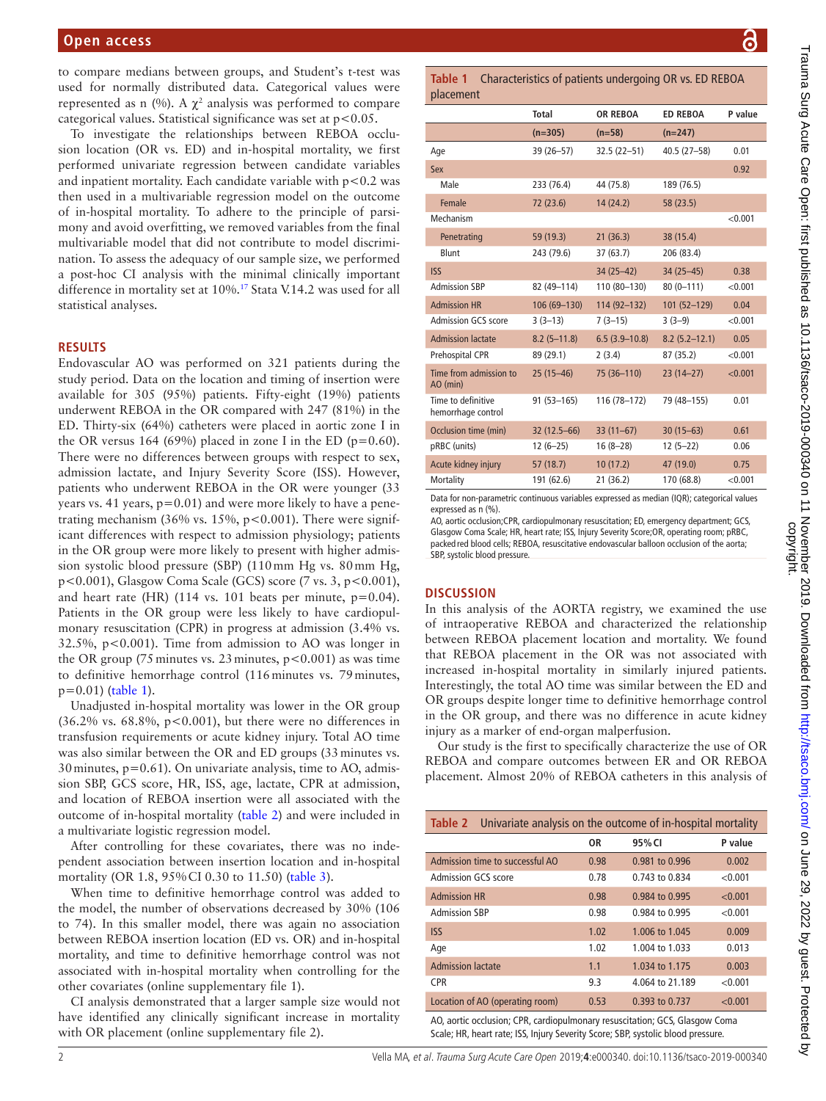to compare medians between groups, and Student's t-test was used for normally distributed data. Categorical values were represented as n (%). A  $\chi^2$  analysis was performed to compare categorical values. Statistical significance was set at p<0.05.

To investigate the relationships between REBOA occlusion location (OR vs. ED) and in-hospital mortality, we first performed univariate regression between candidate variables and inpatient mortality. Each candidate variable with  $p < 0.2$  was then used in a multivariable regression model on the outcome of in-hospital mortality. To adhere to the principle of parsimony and avoid overfitting, we removed variables from the final multivariable model that did not contribute to model discrimination. To assess the adequacy of our sample size, we performed a post-hoc CI analysis with the minimal clinically important difference in mortality set at 10%[.17](#page-3-9) Stata V.14.2 was used for all statistical analyses.

#### **Results**

Endovascular AO was performed on 321 patients during the study period. Data on the location and timing of insertion were available for 305 (95%) patients. Fifty-eight (19%) patients underwent REBOA in the OR compared with 247 (81%) in the ED. Thirty-six (64%) catheters were placed in aortic zone I in the OR versus 164 (69%) placed in zone I in the ED ( $p=0.60$ ). There were no differences between groups with respect to sex, admission lactate, and Injury Severity Score (ISS). However, patients who underwent REBOA in the OR were younger (33 years vs. 41 years,  $p=0.01$ ) and were more likely to have a penetrating mechanism (36% vs.  $15\%$ , p<0.001). There were significant differences with respect to admission physiology; patients in the OR group were more likely to present with higher admission systolic blood pressure (SBP) (110mm Hg vs. 80mm Hg, p<0.001), Glasgow Coma Scale (GCS) score (7 vs. 3, p<0.001), and heart rate (HR) (114 vs. 101 beats per minute,  $p=0.04$ ). Patients in the OR group were less likely to have cardiopulmonary resuscitation (CPR) in progress at admission (3.4% vs. 32.5%, p<0.001). Time from admission to AO was longer in the OR group (75 minutes vs. 23 minutes,  $p < 0.001$ ) as was time to definitive hemorrhage control (116minutes vs. 79minutes,  $p=0.01$ ) ([table](#page-1-0) 1).

Unadjusted in-hospital mortality was lower in the OR group (36.2% vs. 68.8%,  $p<0.001$ ), but there were no differences in transfusion requirements or acute kidney injury. Total AO time was also similar between the OR and ED groups (33minutes vs. 30minutes, p=0.61). On univariate analysis, time to AO, admission SBP, GCS score, HR, ISS, age, lactate, CPR at admission, and location of REBOA insertion were all associated with the outcome of in-hospital mortality [\(table](#page-1-1) 2) and were included in a multivariate logistic regression model.

After controlling for these covariates, there was no independent association between insertion location and in-hospital mortality (OR 1.8, 95%CI 0.30 to 11.50) [\(table](#page-2-0) 3).

When time to definitive hemorrhage control was added to the model, the number of observations decreased by 30% (106 to 74). In this smaller model, there was again no association between REBOA insertion location (ED vs. OR) and in-hospital mortality, and time to definitive hemorrhage control was not associated with in-hospital mortality when controlling for the other covariates ([online supplementary file 1](https://dx.doi.org/10.1136/tsaco-2019-000340)).

CI analysis demonstrated that a larger sample size would not have identified any clinically significant increase in mortality with OR placement ([online supplementary file 2](https://dx.doi.org/10.1136/tsaco-2019-000340)).

<span id="page-1-0"></span>**Table 1** Characteristics of patients undergoing OR vs. ED REBOA placement

|                                          | Total           | <b>OR REBOA</b> | <b>ED REBOA</b>   | P value |
|------------------------------------------|-----------------|-----------------|-------------------|---------|
|                                          | $(n=305)$       | $(n=58)$        | $(n=247)$         |         |
| Age                                      | 39 (26-57)      | $32.5(22 - 51)$ | 40.5 (27-58)      | 0.01    |
| Sex                                      |                 |                 |                   | 0.92    |
| Male                                     | 233 (76.4)      | 44 (75.8)       | 189 (76.5)        |         |
| Female                                   | 72 (23.6)       | 14 (24.2)       | 58(23.5)          |         |
| Mechanism                                |                 |                 |                   | < 0.001 |
| Penetrating                              | 59 (19.3)       | 21(36.3)        | 38 (15.4)         |         |
| Blunt                                    | 243 (79.6)      | 37 (63.7)       | 206 (83.4)        |         |
| <b>ISS</b>                               |                 | $34(25-42)$     | $34(25-45)$       | 0.38    |
| <b>Admission SBP</b>                     | 82 (49-114)     | 110 (80-130)    | $80(0-111)$       | < 0.001 |
| <b>Admission HR</b>                      | 106 (69-130)    | 114 (92-132)    | $101(52 - 129)$   | 0.04    |
| <b>Admission GCS score</b>               | $3(3-13)$       | $7(3-15)$       | $3(3-9)$          | < 0.001 |
| <b>Admission lactate</b>                 | $8.2(5 - 11.8)$ | $6.5(3.9-10.8)$ | $8.2(5.2 - 12.1)$ | 0.05    |
| Prehospital CPR                          | 89 (29.1)       | 2(3.4)          | 87 (35.2)         | < 0.001 |
| Time from admission to<br>AO (min)       | $25(15-46)$     | 75 (36-110)     | $23(14-27)$       | < 0.001 |
| Time to definitive<br>hemorrhage control | $91(53 - 165)$  | 116 (78-172)    | 79 (48-155)       | 0.01    |
| Occlusion time (min)                     | $32(12.5-66)$   | $33(11-67)$     | $30(15-63)$       | 0.61    |
| pRBC (units)                             | $12(6-25)$      | $16(8-28)$      | $12(5-22)$        | 0.06    |
| Acute kidney injury                      | 57(18.7)        | 10(17.2)        | 47 (19.0)         | 0.75    |
| Mortality                                | 191 (62.6)      | 21 (36.2)       | 170 (68.8)        | < 0.001 |

Data for non-parametric continuous variables expressed as median (IQR); categorical values expressed as n (%).

AO, aortic occlusion;CPR, cardiopulmonary resuscitation; ED, emergency department; GCS, Glasgow Coma Scale; HR, heart rate; ISS, Injury Severity Score;OR, operating room; pRBC, packed red blood cells; REBOA, resuscitative endovascular balloon occlusion of the aorta; SBP, systolic blood pressure.

#### **Discussion**

In this analysis of the AORTA registry, we examined the use of intraoperative REBOA and characterized the relationship between REBOA placement location and mortality. We found that REBOA placement in the OR was not associated with increased in-hospital mortality in similarly injured patients. Interestingly, the total AO time was similar between the ED and OR groups despite longer time to definitive hemorrhage control in the OR group, and there was no difference in acute kidney injury as a marker of end-organ malperfusion.

Our study is the first to specifically characterize the use of OR REBOA and compare outcomes between ER and OR REBOA placement. Almost 20% of REBOA catheters in this analysis of

<span id="page-1-1"></span>

| Univariate analysis on the outcome of in-hospital mortality<br>Table 2      |      |                 |         |  |  |  |
|-----------------------------------------------------------------------------|------|-----------------|---------|--|--|--|
|                                                                             | 0R   | 95% CI          | P value |  |  |  |
| Admission time to successful AO                                             | 0.98 | 0.981 to 0.996  | 0.002   |  |  |  |
| Admission GCS score                                                         | 0.78 | 0.743 to 0.834  | < 0.001 |  |  |  |
| <b>Admission HR</b>                                                         | 0.98 | 0.984 to 0.995  | < 0.001 |  |  |  |
| Admission SBP                                                               | 0.98 | 0.984 to 0.995  | < 0.001 |  |  |  |
| <b>ISS</b>                                                                  | 1.02 | 1.006 to 1.045  | 0.009   |  |  |  |
| Age                                                                         | 1.02 | 1.004 to 1.033  | 0.013   |  |  |  |
| <b>Admission lactate</b>                                                    | 1.1  | 1.034 to 1.175  | 0.003   |  |  |  |
| <b>CPR</b>                                                                  | 9.3  | 4.064 to 21.189 | < 0.001 |  |  |  |
| Location of AO (operating room)                                             | 0.53 | 0.393 to 0.737  | < 0.001 |  |  |  |
| AO, aortic occlusion; CPR, cardiopulmonary resuscitation; GCS, Glasgow Coma |      |                 |         |  |  |  |

Scale; HR, heart rate; ISS, Injury Severity Score; SBP, systolic blood pressure.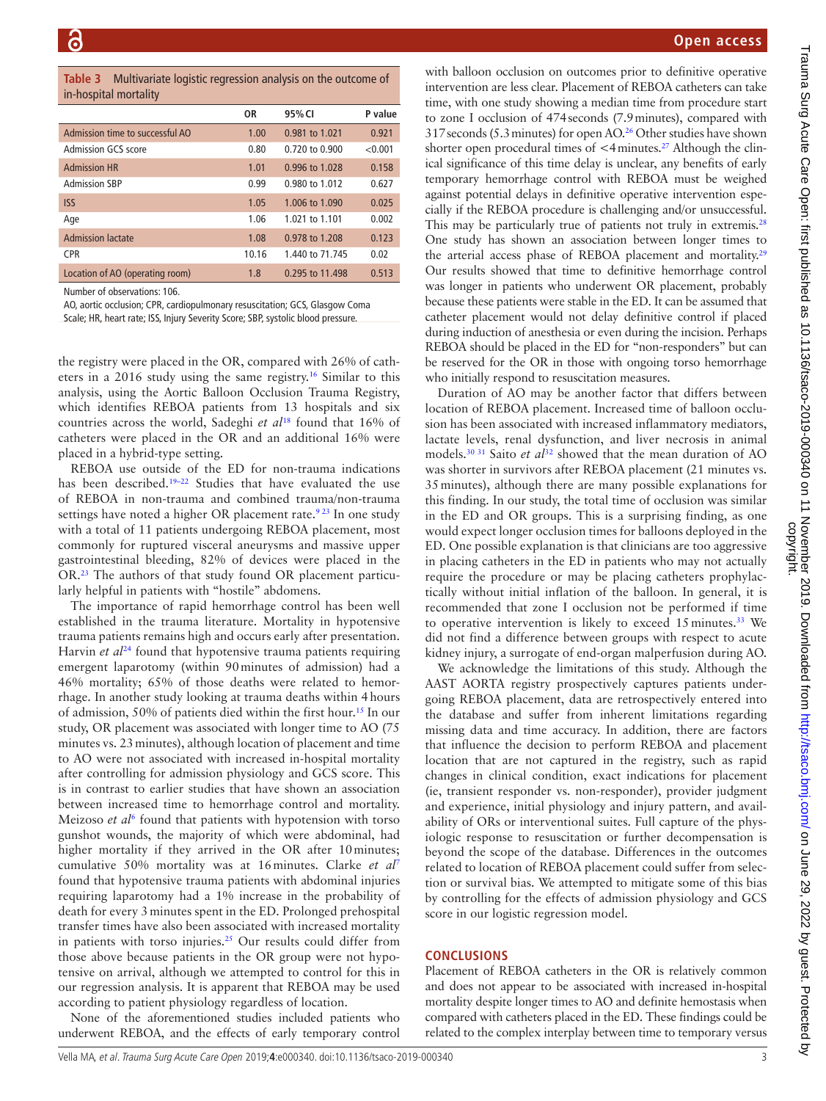<span id="page-2-0"></span>**Table 3** Multivariate logistic regression analysis on the outcome of in-hospital mortality

|                                 | 0R    | 95% CI          | P value |
|---------------------------------|-------|-----------------|---------|
| Admission time to successful AO | 1.00  | 0.981 to 1.021  | 0.921   |
| <b>Admission GCS score</b>      | 0.80  | 0.720 to 0.900  | < 0.001 |
| <b>Admission HR</b>             | 1.01  | 0.996 to 1.028  | 0.158   |
| <b>Admission SBP</b>            | 0.99  | 0.980 to 1.012  | 0.627   |
| <b>ISS</b>                      | 1.05  | 1,006 to 1,090  | 0.025   |
| Age                             | 1.06  | 1.021 to 1.101  | 0.002   |
| <b>Admission lactate</b>        | 1.08  | 0.978 to 1.208  | 0.123   |
| <b>CPR</b>                      | 10.16 | 1.440 to 71.745 | 0.02    |
| Location of AO (operating room) | 1.8   | 0.295 to 11.498 | 0.513   |

Number of observations: 106.

AO, aortic occlusion; CPR, cardiopulmonary resuscitation; GCS, Glasgow Coma Scale; HR, heart rate; ISS, Injury Severity Score; SBP, systolic blood pressure.

the registry were placed in the OR, compared with 26% of catheters in a 2016 study using the same registry.<sup>16</sup> Similar to this analysis, using the Aortic Balloon Occlusion Trauma Registry, which identifies REBOA patients from 13 hospitals and six countries across the world, Sadeghi *et al*[18](#page-3-10) found that 16% of catheters were placed in the OR and an additional 16% were placed in a hybrid-type setting.

REBOA use outside of the ED for non-trauma indications has been described.<sup>19-22</sup> Studies that have evaluated the use of REBOA in non-trauma and combined trauma/non-trauma settings have noted a higher OR placement rate.<sup>923</sup> In one study with a total of 11 patients undergoing REBOA placement, most commonly for ruptured visceral aneurysms and massive upper gastrointestinal bleeding, 82% of devices were placed in the OR[.23](#page-4-0) The authors of that study found OR placement particularly helpful in patients with "hostile" abdomens.

The importance of rapid hemorrhage control has been well established in the trauma literature. Mortality in hypotensive trauma patients remains high and occurs early after presentation. Harvin *et al*<sup>24</sup> found that hypotensive trauma patients requiring emergent laparotomy (within 90minutes of admission) had a 46% mortality; 65% of those deaths were related to hemorrhage. In another study looking at trauma deaths within 4hours of admission, 50% of patients died within the first hour.[15](#page-3-7) In our study, OR placement was associated with longer time to AO (75 minutes vs. 23minutes), although location of placement and time to AO were not associated with increased in-hospital mortality after controlling for admission physiology and GCS score. This is in contrast to earlier studies that have shown an association between increased time to hemorrhage control and mortality. Meizoso *et al<sup>[6](#page-3-4)</sup>* found that patients with hypotension with torso gunshot wounds, the majority of which were abdominal, had higher mortality if they arrived in the OR after 10minutes; cumulative 50% mortality was at 16minutes. Clarke *et al*[7](#page-3-13) found that hypotensive trauma patients with abdominal injuries requiring laparotomy had a 1% increase in the probability of death for every 3minutes spent in the ED. Prolonged prehospital transfer times have also been associated with increased mortality in patients with torso injuries.<sup>25</sup> Our results could differ from those above because patients in the OR group were not hypotensive on arrival, although we attempted to control for this in our regression analysis. It is apparent that REBOA may be used according to patient physiology regardless of location.

None of the aforementioned studies included patients who underwent REBOA, and the effects of early temporary control

#### **Open access**

with balloon occlusion on outcomes prior to definitive operative intervention are less clear. Placement of REBOA catheters can take time, with one study showing a median time from procedure start to zone I occlusion of 474seconds (7.9minutes), compared with 317seconds (5.3minutes) for open AO[.26](#page-4-3) Other studies have shown shorter open procedural times of  $<$ 4 minutes.<sup>27</sup> Although the clinical significance of this time delay is unclear, any benefits of early temporary hemorrhage control with REBOA must be weighed against potential delays in definitive operative intervention especially if the REBOA procedure is challenging and/or unsuccessful. This may be particularly true of patients not truly in extremis.<sup>[28](#page-4-5)</sup> One study has shown an association between longer times to the arterial access phase of REBOA placement and mortality.[29](#page-4-6) Our results showed that time to definitive hemorrhage control was longer in patients who underwent OR placement, probably because these patients were stable in the ED. It can be assumed that catheter placement would not delay definitive control if placed during induction of anesthesia or even during the incision. Perhaps REBOA should be placed in the ED for "non-responders" but can be reserved for the OR in those with ongoing torso hemorrhage who initially respond to resuscitation measures.

Duration of AO may be another factor that differs between location of REBOA placement. Increased time of balloon occlusion has been associated with increased inflammatory mediators, lactate levels, renal dysfunction, and liver necrosis in animal models.<sup>[30 31](#page-4-7)</sup> Saito *et al*<sup>32</sup> showed that the mean duration of AO was shorter in survivors after REBOA placement (21 minutes vs. 35minutes), although there are many possible explanations for this finding. In our study, the total time of occlusion was similar in the ED and OR groups. This is a surprising finding, as one would expect longer occlusion times for balloons deployed in the ED. One possible explanation is that clinicians are too aggressive in placing catheters in the ED in patients who may not actually require the procedure or may be placing catheters prophylactically without initial inflation of the balloon. In general, it is recommended that zone I occlusion not be performed if time to operative intervention is likely to exceed 15 minutes.<sup>33</sup> We did not find a difference between groups with respect to acute kidney injury, a surrogate of end-organ malperfusion during AO.

We acknowledge the limitations of this study. Although the AAST AORTA registry prospectively captures patients undergoing REBOA placement, data are retrospectively entered into the database and suffer from inherent limitations regarding missing data and time accuracy. In addition, there are factors that influence the decision to perform REBOA and placement location that are not captured in the registry, such as rapid changes in clinical condition, exact indications for placement (ie, transient responder vs. non-responder), provider judgment and experience, initial physiology and injury pattern, and availability of ORs or interventional suites. Full capture of the physiologic response to resuscitation or further decompensation is beyond the scope of the database. Differences in the outcomes related to location of REBOA placement could suffer from selection or survival bias. We attempted to mitigate some of this bias by controlling for the effects of admission physiology and GCS score in our logistic regression model.

#### **Conclusions**

Placement of REBOA catheters in the OR is relatively common and does not appear to be associated with increased in-hospital mortality despite longer times to AO and definite hemostasis when compared with catheters placed in the ED. These findings could be related to the complex interplay between time to temporary versus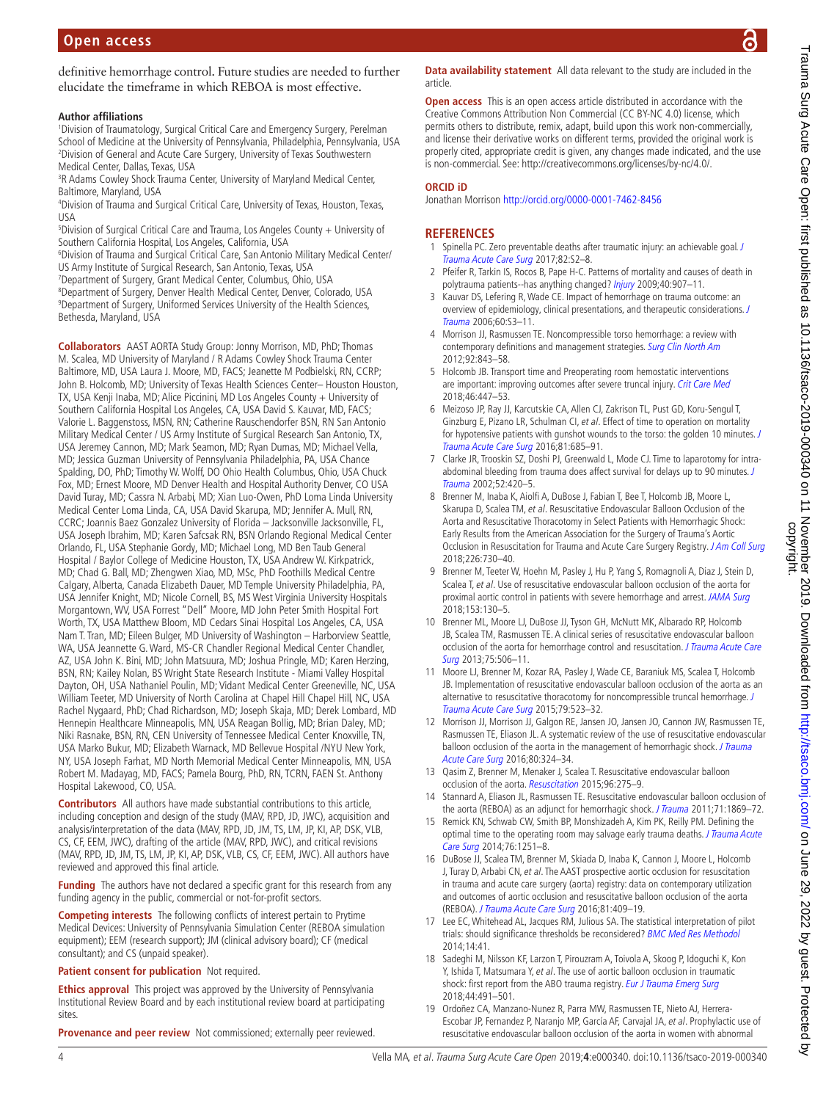definitive hemorrhage control. Future studies are needed to further elucidate the timeframe in which REBOA is most effective.

#### **Author affiliations**

1 Division of Traumatology, Surgical Critical Care and Emergency Surgery, Perelman School of Medicine at the University of Pennsylvania, Philadelphia, Pennsylvania, USA 2 Division of General and Acute Care Surgery, University of Texas Southwestern Medical Center, Dallas, Texas, USA

<sup>3</sup>R Adams Cowley Shock Trauma Center, University of Maryland Medical Center, Baltimore, Maryland, USA

4 Division of Trauma and Surgical Critical Care, University of Texas, Houston, Texas, USA

5 Division of Surgical Critical Care and Trauma, Los Angeles County + University of Southern California Hospital, Los Angeles, California, USA

6 Division of Trauma and Surgical Critical Care, San Antonio Military Medical Center/ US Army Institute of Surgical Research, San Antonio, Texas, USA

7 Department of Surgery, Grant Medical Center, Columbus, Ohio, USA

8 Department of Surgery, Denver Health Medical Center, Denver, Colorado, USA 9 Department of Surgery, Uniformed Services University of the Health Sciences, Bethesda, Maryland, USA

**Collaborators** AAST AORTA Study Group: Jonny Morrison, MD, PhD; Thomas M. Scalea, MD University of Maryland / R Adams Cowley Shock Trauma Center Baltimore, MD, USA Laura J. Moore, MD, FACS; Jeanette M Podbielski, RN, CCRP; John B. Holcomb, MD; University of Texas Health Sciences Center– Houston Houston, TX, USA Kenji Inaba, MD; Alice Piccinini, MD Los Angeles County + University of Southern California Hospital Los Angeles, CA, USA David S. Kauvar, MD, FACS; Valorie L. Baggenstoss, MSN, RN; Catherine Rauschendorfer BSN, RN San Antonio Military Medical Center / US Army Institute of Surgical Research San Antonio, TX, USA Jeremey Cannon, MD; Mark Seamon, MD; Ryan Dumas, MD; Michael Vella, MD; Jessica Guzman University of Pennsylvania Philadelphia, PA, USA Chance Spalding, DO, PhD; Timothy W. Wolff, DO Ohio Health Columbus, Ohio, USA Chuck Fox, MD; Ernest Moore, MD Denver Health and Hospital Authority Denver, CO USA David Turay, MD; Cassra N. Arbabi, MD; Xian Luo-Owen, PhD Loma Linda University Medical Center Loma Linda, CA, USA David Skarupa, MD; Jennifer A. Mull, RN, CCRC; Joannis Baez Gonzalez University of Florida – Jacksonville Jacksonville, FL, USA Joseph Ibrahim, MD; Karen Safcsak RN, BSN Orlando Regional Medical Center Orlando, FL, USA Stephanie Gordy, MD; Michael Long, MD Ben Taub General Hospital / Baylor College of Medicine Houston, TX, USA Andrew W. Kirkpatrick, MD; Chad G. Ball, MD; Zhengwen Xiao, MD, MSc, PhD Foothills Medical Centre Calgary, Alberta, Canada Elizabeth Dauer, MD Temple University Philadelphia, PA, USA Jennifer Knight, MD; Nicole Cornell, BS, MS West Virginia University Hospitals Morgantown, WV, USA Forrest "Dell" Moore, MD John Peter Smith Hospital Fort Worth, TX, USA Matthew Bloom, MD Cedars Sinai Hospital Los Angeles, CA, USA Nam T. Tran, MD; Eileen Bulger, MD University of Washington – Harborview Seattle, WA, USA Jeannette G. Ward, MS-CR Chandler Regional Medical Center Chandler, AZ, USA John K. Bini, MD; John Matsuura, MD; Joshua Pringle, MD; Karen Herzing, BSN, RN; Kailey Nolan, BS Wright State Research Institute - Miami Valley Hospital Dayton, OH, USA Nathaniel Poulin, MD; Vidant Medical Center Greeneville, NC, USA William Teeter, MD University of North Carolina at Chapel Hill Chapel Hill, NC, USA Rachel Nygaard, PhD; Chad Richardson, MD; Joseph Skaja, MD; Derek Lombard, MD Hennepin Healthcare Minneapolis, MN, USA Reagan Bollig, MD; Brian Daley, MD; Niki Rasnake, BSN, RN, CEN University of Tennessee Medical Center Knoxville, TN, USA Marko Bukur, MD; Elizabeth Warnack, MD Bellevue Hospital /NYU New York, NY, USA Joseph Farhat, MD North Memorial Medical Center Minneapolis, MN, USA Robert M. Madayag, MD, FACS; Pamela Bourg, PhD, RN, TCRN, FAEN St. Anthony Hospital Lakewood, CO, USA.

**Contributors** All authors have made substantial contributions to this article, including conception and design of the study (MAV, RPD, JD, JWC), acquisition and analysis/interpretation of the data (MAV, RPD, JD, JM, TS, LM, JP, KI, AP, DSK, VLB, CS, CF, EEM, JWC), drafting of the article (MAV, RPD, JWC), and critical revisions (MAV, RPD, JD, JM, TS, LM, JP, KI, AP, DSK, VLB, CS, CF, EEM, JWC). All authors have reviewed and approved this final article.

**Funding** The authors have not declared a specific grant for this research from any funding agency in the public, commercial or not-for-profit sectors.

**Competing interests** The following conflicts of interest pertain to Prytime Medical Devices: University of Pennsylvania Simulation Center (REBOA simulation equipment); EEM (research support); JM (clinical advisory board); CF (medical consultant); and CS (unpaid speaker).

**Patient consent for publication** Not required.

**Ethics approval** This project was approved by the University of Pennsylvania Institutional Review Board and by each institutional review board at participating sites.

**Provenance and peer review** Not commissioned; externally peer reviewed.

**Data availability statement** All data relevant to the study are included in the article.

**Open access** This is an open access article distributed in accordance with the Creative Commons Attribution Non Commercial (CC BY-NC 4.0) license, which permits others to distribute, remix, adapt, build upon this work non-commercially, and license their derivative works on different terms, provided the original work is properly cited, appropriate credit is given, any changes made indicated, and the use is non-commercial. See: [http://creativecommons.org/licenses/by-nc/4.0/.](http://creativecommons.org/licenses/by-nc/4.0/)

#### **ORCID iD**

Jonathan Morrison <http://orcid.org/0000-0001-7462-8456>

#### **References**

- <span id="page-3-0"></span>1 Spinella PC. Zero preventable deaths after traumatic injury: an achievable goal. [J](http://dx.doi.org/10.1097/TA.0000000000001425)  [Trauma Acute Care Surg](http://dx.doi.org/10.1097/TA.0000000000001425) 2017;82:S2–8.
- 2 Pfeifer R, Tarkin IS, Rocos B, Pape H-C. Patterns of mortality and causes of death in polytrauma patients--has anything changed? [Injury](http://dx.doi.org/10.1016/j.injury.2009.05.006) 2009;40:907-11.
- <span id="page-3-1"></span>3 Kauvar DS, Lefering R, Wade CE. Impact of hemorrhage on trauma outcome: an overview of epidemiology, clinical presentations, and therapeutic considerations. [J](http://dx.doi.org/10.1097/01.ta.0000199961.02677.19)  [Trauma](http://dx.doi.org/10.1097/01.ta.0000199961.02677.19) 2006;60:S3–11.
- <span id="page-3-2"></span>4 Morrison JJ, Rasmussen TE. Noncompressible torso hemorrhage: a review with contemporary definitions and management strategies. [Surg Clin North Am](http://dx.doi.org/10.1016/j.suc.2012.05.002) 2012;92:843–58.
- <span id="page-3-3"></span>5 Holcomb JB. Transport time and Preoperating room hemostatic interventions are important: improving outcomes after severe truncal injury. [Crit Care Med](http://dx.doi.org/10.1097/CCM.0000000000002915) 2018;46:447–53.
- <span id="page-3-4"></span>6 Meizoso JP, Ray JJ, Karcutskie CA, Allen CJ, Zakrison TL, Pust GD, Koru-Sengul T, Ginzburg E, Pizano LR, Schulman CI, et al. Effect of time to operation on mortality for hypotensive patients with gunshot wounds to the torso: the golden 10 minutes. J [Trauma Acute Care Surg](http://dx.doi.org/10.1097/TA.0000000000001198) 2016;81:685–91.
- <span id="page-3-13"></span>7 Clarke JR, Trooskin SZ, Doshi PJ, Greenwald L, Mode CJ. Time to laparotomy for intraabdominal bleeding from trauma does affect survival for delays up to 90 minutes. J [Trauma](http://dx.doi.org/10.1097/00005373-200203000-00002) 2002;52:420–5.
- <span id="page-3-5"></span>8 Brenner M, Inaba K, Aiolfi A, DuBose J, Fabian T, Bee T, Holcomb JB, Moore L, Skarupa D, Scalea TM, et al. Resuscitative Endovascular Balloon Occlusion of the Aorta and Resuscitative Thoracotomy in Select Patients with Hemorrhagic Shock: Early Results from the American Association for the Surgery of Trauma's Aortic Occlusion in Resuscitation for Trauma and Acute Care Surgery Registry. [J Am Coll Surg](http://dx.doi.org/10.1016/j.jamcollsurg.2018.01.044) 2018;226:730–40.
- <span id="page-3-12"></span>9 Brenner M, Teeter W, Hoehn M, Pasley J, Hu P, Yang S, Romagnoli A, Diaz J, Stein D, Scalea T, et al. Use of resuscitative endovascular balloon occlusion of the aorta for proximal aortic control in patients with severe hemorrhage and arrest. [JAMA Surg](http://dx.doi.org/10.1001/jamasurg.2017.3549) 2018;153:130–5.
- 10 Brenner ML, Moore LJ, DuBose JJ, Tyson GH, McNutt MK, Albarado RP, Holcomb JB, Scalea TM, Rasmussen TE. A clinical series of resuscitative endovascular balloon occlusion of the aorta for hemorrhage control and resuscitation. J Trauma Acute Care [Surg](http://dx.doi.org/10.1097/TA.0b013e31829e5416) 2013;75:506–11.
- 11 Moore LJ, Brenner M, Kozar RA, Pasley J, Wade CE, Baraniuk MS, Scalea T, Holcomb JB. Implementation of resuscitative endovascular balloon occlusion of the aorta as an alternative to resuscitative thoracotomy for noncompressible truncal hemorrhage. J [Trauma Acute Care Surg](http://dx.doi.org/10.1097/TA.0000000000000809) 2015;79:523–32.
- 12 Morrison JJ, Morrison JJ, Galgon RE, Jansen JO, Jansen JO, Cannon JW, Rasmussen TE, Rasmussen TE, Eliason JL. A systematic review of the use of resuscitative endovascular balloon occlusion of the aorta in the management of hemorrhagic shock. J Trauma [Acute Care Surg](http://dx.doi.org/10.1097/TA.0000000000000913) 2016;80:324–34.
- <span id="page-3-6"></span>13 Qasim Z, Brenner M, Menaker J, Scalea T. Resuscitative endovascular balloon occlusion of the aorta. [Resuscitation](http://dx.doi.org/10.1016/j.resuscitation.2015.09.003) 2015;96:275-9.
- 14 Stannard A, Eliason JL, Rasmussen TE. Resuscitative endovascular balloon occlusion of the aorta (REBOA) as an adjunct for hemorrhagic shock. [J Trauma](http://dx.doi.org/10.1097/TA.0b013e31823fe90c) 2011;71:1869-72.
- <span id="page-3-7"></span>15 Remick KN, Schwab CW, Smith BP, Monshizadeh A, Kim PK, Reilly PM. Defining the optimal time to the operating room may salvage early trauma deaths. J Trauma Acute [Care Surg](http://dx.doi.org/10.1097/TA.0000000000000218) 2014;76:1251–8.
- <span id="page-3-8"></span>16 DuBose JJ, Scalea TM, Brenner M, Skiada D, Inaba K, Cannon J, Moore L, Holcomb J, Turay D, Arbabi CN, et al. The AAST prospective aortic occlusion for resuscitation in trauma and acute care surgery (aorta) registry: data on contemporary utilization and outcomes of aortic occlusion and resuscitative balloon occlusion of the aorta (REBOA). [J Trauma Acute Care Surg](http://dx.doi.org/10.1097/TA.0000000000001079) 2016;81:409–19.
- <span id="page-3-9"></span>17 Lee EC, Whitehead AL, Jacques RM, Julious SA. The statistical interpretation of pilot trials: should significance thresholds be reconsidered? [BMC Med Res Methodol](http://dx.doi.org/10.1186/1471-2288-14-41) 2014;14:41.
- <span id="page-3-10"></span>18 Sadeghi M, Nilsson KF, Larzon T, Pirouzram A, Toivola A, Skoog P, Idoguchi K, Kon Y, Ishida T, Matsumara Y, et al. The use of aortic balloon occlusion in traumatic shock: first report from the ABO trauma registry. [Eur J Trauma Emerg Surg](http://dx.doi.org/10.1007/s00068-017-0813-7) 2018;44:491–501.
- <span id="page-3-11"></span>19 Ordoñez CA, Manzano-Nunez R, Parra MW, Rasmussen TE, Nieto AJ, Herrera-Escobar JP, Fernandez P, Naranjo MP, García AF, Carvajal JA, et al. Prophylactic use of resuscitative endovascular balloon occlusion of the aorta in women with abnormal